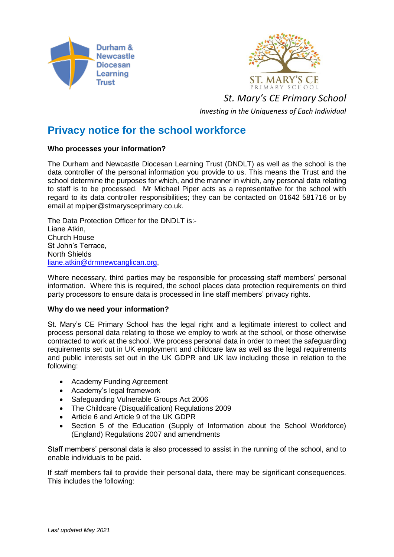



*St. Mary's CE Primary School*

*Investing in the Uniqueness of Each Individual*

## **Privacy notice for the school workforce**

## **Who processes your information?**

The Durham and Newcastle Diocesan Learning Trust (DNDLT) as well as the school is the data controller of the personal information you provide to us. This means the Trust and the school determine the purposes for which, and the manner in which, any personal data relating to staff is to be processed. Mr Michael Piper acts as a representative for the school with regard to its data controller responsibilities; they can be contacted on 01642 581716 or by email at mpiper@stmarysceprimary.co.uk.

The Data Protection Officer for the DNDLT is:- Liane Atkin, Church House St John's Terrace, North Shields [liane.atkin@drmnewcanglican.org,](mailto:liane.atkin@drmnewcanglican.org)

Where necessary, third parties may be responsible for processing staff members' personal information. Where this is required, the school places data protection requirements on third party processors to ensure data is processed in line staff members' privacy rights.

## **Why do we need your information?**

St. Mary's CE Primary School has the legal right and a legitimate interest to collect and process personal data relating to those we employ to work at the school, or those otherwise contracted to work at the school. We process personal data in order to meet the safeguarding requirements set out in UK employment and childcare law as well as the legal requirements and public interests set out in the UK GDPR and UK law including those in relation to the following:

- Academy Funding Agreement
- Academy's legal framework
- Safeguarding Vulnerable Groups Act 2006
- The Childcare (Disqualification) Regulations 2009
- Article 6 and Article 9 of the UK GDPR
- Section 5 of the Education (Supply of Information about the School Workforce) (England) Regulations 2007 and amendments

Staff members' personal data is also processed to assist in the running of the school, and to enable individuals to be paid.

If staff members fail to provide their personal data, there may be significant consequences. This includes the following: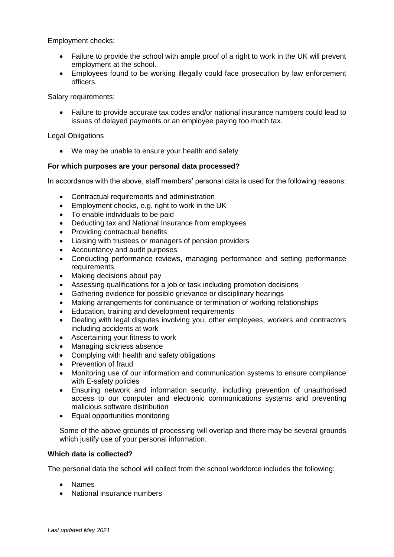Employment checks:

- Failure to provide the school with ample proof of a right to work in the UK will prevent employment at the school.
- Employees found to be working illegally could face prosecution by law enforcement officers.

Salary requirements:

• Failure to provide accurate tax codes and/or national insurance numbers could lead to issues of delayed payments or an employee paying too much tax.

Legal Obligations

• We may be unable to ensure your health and safety

## **For which purposes are your personal data processed?**

In accordance with the above, staff members' personal data is used for the following reasons:

- Contractual requirements and administration
- Employment checks, e.g. right to work in the UK
- To enable individuals to be paid
- Deducting tax and National Insurance from employees
- Providing contractual benefits
- Liaising with trustees or managers of pension providers
- Accountancy and audit purposes
- Conducting performance reviews, managing performance and setting performance requirements
- Making decisions about pay
- Assessing qualifications for a job or task including promotion decisions
- Gathering evidence for possible grievance or disciplinary hearings
- Making arrangements for continuance or termination of working relationships
- Education, training and development requirements
- Dealing with legal disputes involving you, other employees, workers and contractors including accidents at work
- Ascertaining your fitness to work
- Managing sickness absence
- Complying with health and safety obligations
- Prevention of fraud
- Monitoring use of our information and communication systems to ensure compliance with E-safety policies
- Ensuring network and information security, including prevention of unauthorised access to our computer and electronic communications systems and preventing malicious software distribution
- Equal opportunities monitoring

Some of the above grounds of processing will overlap and there may be several grounds which justify use of your personal information.

#### **Which data is collected?**

The personal data the school will collect from the school workforce includes the following:

- Names
- National insurance numbers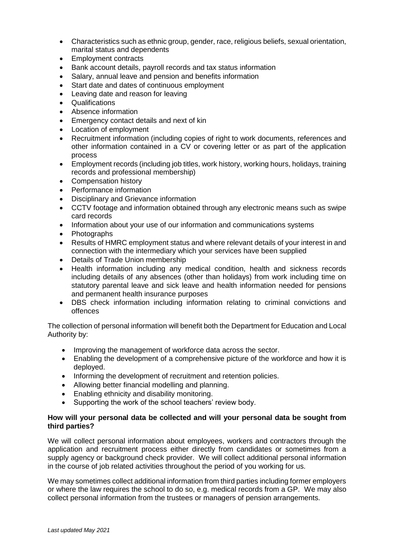- Characteristics such as ethnic group, gender, race, religious beliefs, sexual orientation, marital status and dependents
- Employment contracts
- Bank account details, payroll records and tax status information
- Salary, annual leave and pension and benefits information
- Start date and dates of continuous employment
- Leaving date and reason for leaving
- Qualifications
- Absence information
- Emergency contact details and next of kin
- Location of employment
- Recruitment information (including copies of right to work documents, references and other information contained in a CV or covering letter or as part of the application process
- Employment records (including job titles, work history, working hours, holidays, training records and professional membership)
- Compensation history
- Performance information
- Disciplinary and Grievance information
- CCTV footage and information obtained through any electronic means such as swipe card records
- Information about your use of our information and communications systems
- **Photographs**
- Results of HMRC employment status and where relevant details of your interest in and connection with the intermediary which your services have been supplied
- Details of Trade Union membership
- Health information including any medical condition, health and sickness records including details of any absences (other than holidays) from work including time on statutory parental leave and sick leave and health information needed for pensions and permanent health insurance purposes
- DBS check information including information relating to criminal convictions and offences

The collection of personal information will benefit both the Department for Education and Local Authority by:

- Improving the management of workforce data across the sector.
- Enabling the development of a comprehensive picture of the workforce and how it is deployed.
- Informing the development of recruitment and retention policies.
- Allowing better financial modelling and planning.
- Enabling ethnicity and disability monitoring.
- Supporting the work of the school teachers' review body.

## **How will your personal data be collected and will your personal data be sought from third parties?**

We will collect personal information about employees, workers and contractors through the application and recruitment process either directly from candidates or sometimes from a supply agency or background check provider. We will collect additional personal information in the course of job related activities throughout the period of you working for us.

We may sometimes collect additional information from third parties including former employers or where the law requires the school to do so, e.g. medical records from a GP. We may also collect personal information from the trustees or managers of pension arrangements.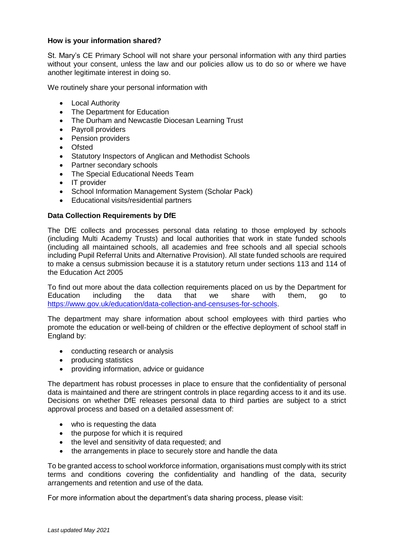## **How is your information shared?**

St. Mary's CE Primary School will not share your personal information with any third parties without your consent, unless the law and our policies allow us to do so or where we have another legitimate interest in doing so.

We routinely share your personal information with

- Local Authority
- The Department for Education
- The Durham and Newcastle Diocesan Learning Trust
- Payroll providers
- Pension providers
- Ofsted
- Statutory Inspectors of Anglican and Methodist Schools
- Partner secondary schools
- The Special Educational Needs Team
- IT provider
- School Information Management System (Scholar Pack)
- Educational visits/residential partners

#### **Data Collection Requirements by DfE**

The DfE collects and processes personal data relating to those employed by schools (including Multi Academy Trusts) and local authorities that work in state funded schools (including all maintained schools, all academies and free schools and all special schools including Pupil Referral Units and Alternative Provision). All state funded schools are required to make a census submission because it is a statutory return under sections 113 and 114 of the Education Act 2005

To find out more about the data collection requirements placed on us by the Department for Education including the data that we share with them, go to [https://www.gov.uk/education/data-collection-and-censuses-for-schools.](https://www.gov.uk/education/data-collection-and-censuses-for-schools)

The department may share information about school employees with third parties who promote the education or well-being of children or the effective deployment of school staff in England by:

- conducting research or analysis
- producing statistics
- providing information, advice or guidance

The department has robust processes in place to ensure that the confidentiality of personal data is maintained and there are stringent controls in place regarding access to it and its use. Decisions on whether DfE releases personal data to third parties are subject to a strict approval process and based on a detailed assessment of:

- who is requesting the data
- the purpose for which it is required
- the level and sensitivity of data requested; and
- the arrangements in place to securely store and handle the data

To be granted access to school workforce information, organisations must comply with its strict terms and conditions covering the confidentiality and handling of the data, security arrangements and retention and use of the data.

For more information about the department's data sharing process, please visit: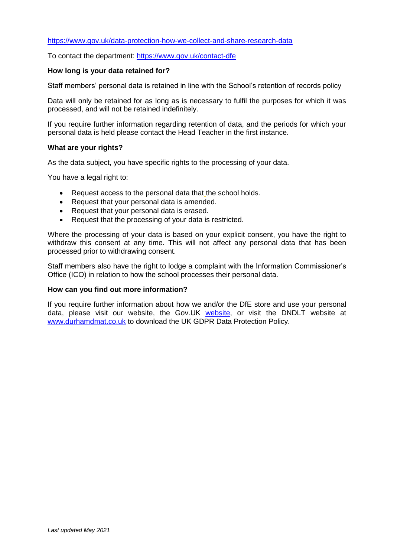#### <https://www.gov.uk/data-protection-how-we-collect-and-share-research-data>

To contact the department:<https://www.gov.uk/contact-dfe>

## **How long is your data retained for?**

Staff members' personal data is retained in line with the School's retention of records policy

Data will only be retained for as long as is necessary to fulfil the purposes for which it was processed, and will not be retained indefinitely.

If you require further information regarding retention of data, and the periods for which your personal data is held please contact the Head Teacher in the first instance.

#### **What are your rights?**

As the data subject, you have specific rights to the processing of your data.

You have a legal right to:

- Request access to the personal data that the school holds.
- Request that your personal data is amended.
- Request that your personal data is erased.
- Request that the processing of your data is restricted.

Where the processing of your data is based on your explicit consent, you have the right to withdraw this consent at any time. This will not affect any personal data that has been processed prior to withdrawing consent.

Staff members also have the right to lodge a complaint with the Information Commissioner's Office (ICO) in relation to how the school processes their personal data.

#### **How can you find out more information?**

If you require further information about how we and/or the DfE store and use your personal data, please visit our website, the Gov.UK [website,](https://www.gov.uk/guidance/data-protection-how-we-collect-and-share-research-data) or visit the DNDLT website at [www.durhamdmat.co.uk](http://www.durhamdmat.co.uk/) to download the UK GDPR Data Protection Policy.